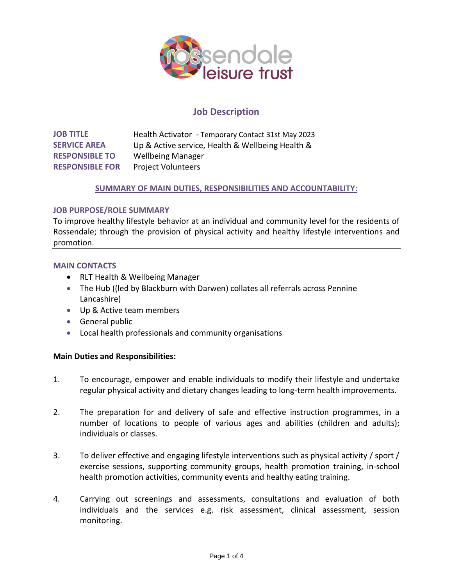

# **Job Description**

**JOB TITLE SERVICE AREA RESPONSIBLE TO RESPONSIBLE FOR** Health Activator - Temporary Contact 31st May 2023 Up & Active service, Health & Wellbeing Health & Wellbeing Manager Project Volunteers

# **SUMMARY OF MAIN DUTIES, RESPONSIBILITIES AND ACCOUNTABILITY:**

### **JOB PURPOSE/ROLE SUMMARY**

To improve healthy lifestyle behavior at an individual and community level for the residents of Rossendale; through the provision of physical activity and healthy lifestyle interventions and promotion.

### **MAIN CONTACTS**

- RLT Health & Wellbeing Manager
- The Hub ((led by Blackburn with Darwen) collates all referrals across Pennine Lancashire)
- Up & Active team members
- General public
- Local health professionals and community organisations

## **Main Duties and Responsibilities:**

- 1. To encourage, empower and enable individuals to modify their lifestyle and undertake regular physical activity and dietary changes leading to long-term health improvements.
- 2. The preparation for and delivery of safe and effective instruction programmes, in a number of locations to people of various ages and abilities (children and adults); individuals or classes.
- 3. To deliver effective and engaging lifestyle interventions such as physical activity / sport / exercise sessions, supporting community groups, health promotion training, in-school health promotion activities, community events and healthy eating training.
- 4. Carrying out screenings and assessments, consultations and evaluation of both individuals and the services e.g. risk assessment, clinical assessment, session monitoring.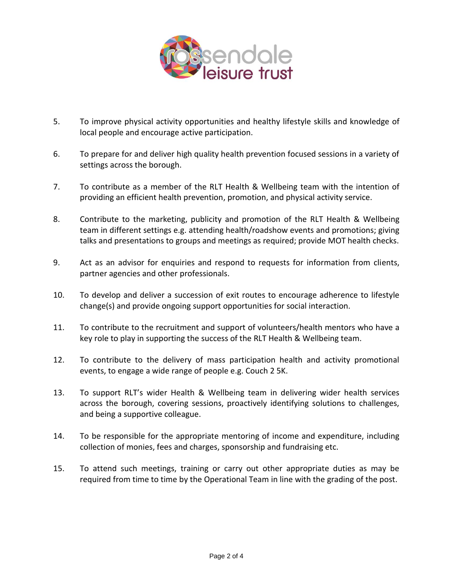

- 5. To improve physical activity opportunities and healthy lifestyle skills and knowledge of local people and encourage active participation.
- 6. To prepare for and deliver high quality health prevention focused sessions in a variety of settings across the borough.
- 7. To contribute as a member of the RLT Health & Wellbeing team with the intention of providing an efficient health prevention, promotion, and physical activity service.
- 8. Contribute to the marketing, publicity and promotion of the RLT Health & Wellbeing team in different settings e.g. attending health/roadshow events and promotions; giving talks and presentations to groups and meetings as required; provide MOT health checks.
- 9. Act as an advisor for enquiries and respond to requests for information from clients, partner agencies and other professionals.
- 10. To develop and deliver a succession of exit routes to encourage adherence to lifestyle change(s) and provide ongoing support opportunities for social interaction.
- 11. To contribute to the recruitment and support of volunteers/health mentors who have a key role to play in supporting the success of the RLT Health & Wellbeing team.
- 12. To contribute to the delivery of mass participation health and activity promotional events, to engage a wide range of people e.g. Couch 2 5K.
- 13. To support RLT's wider Health & Wellbeing team in delivering wider health services across the borough, covering sessions, proactively identifying solutions to challenges, and being a supportive colleague.
- 14. To be responsible for the appropriate mentoring of income and expenditure, including collection of monies, fees and charges, sponsorship and fundraising etc.
- 15. To attend such meetings, training or carry out other appropriate duties as may be required from time to time by the Operational Team in line with the grading of the post.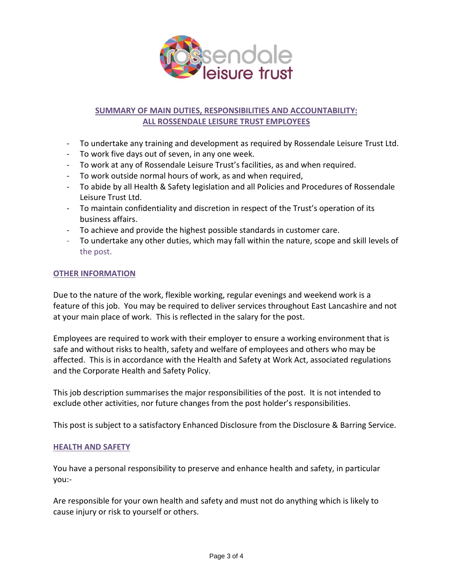

# **SUMMARY OF MAIN DUTIES, RESPONSIBILITIES AND ACCOUNTABILITY: ALL ROSSENDALE LEISURE TRUST EMPLOYEES**

- To undertake any training and development as required by Rossendale Leisure Trust Ltd.
- To work five days out of seven, in any one week.
- To work at any of Rossendale Leisure Trust's facilities, as and when required.
- To work outside normal hours of work, as and when required,
- To abide by all Health & Safety legislation and all Policies and Procedures of Rossendale Leisure Trust Ltd.
- To maintain confidentiality and discretion in respect of the Trust's operation of its business affairs.
- To achieve and provide the highest possible standards in customer care.
- To undertake any other duties, which may fall within the nature, scope and skill levels of the post.

### **OTHER INFORMATION**

Due to the nature of the work, flexible working, regular evenings and weekend work is a feature of this job. You may be required to deliver services throughout East Lancashire and not at your main place of work. This is reflected in the salary for the post.

Employees are required to work with their employer to ensure a working environment that is safe and without risks to health, safety and welfare of employees and others who may be affected. This is in accordance with the Health and Safety at Work Act, associated regulations and the Corporate Health and Safety Policy.

This job description summarises the major responsibilities of the post. It is not intended to exclude other activities, nor future changes from the post holder's responsibilities.

This post is subject to a satisfactory Enhanced Disclosure from the Disclosure & Barring Service.

#### **HEALTH AND SAFETY**

You have a personal responsibility to preserve and enhance health and safety, in particular you:-

Are responsible for your own health and safety and must not do anything which is likely to cause injury or risk to yourself or others.